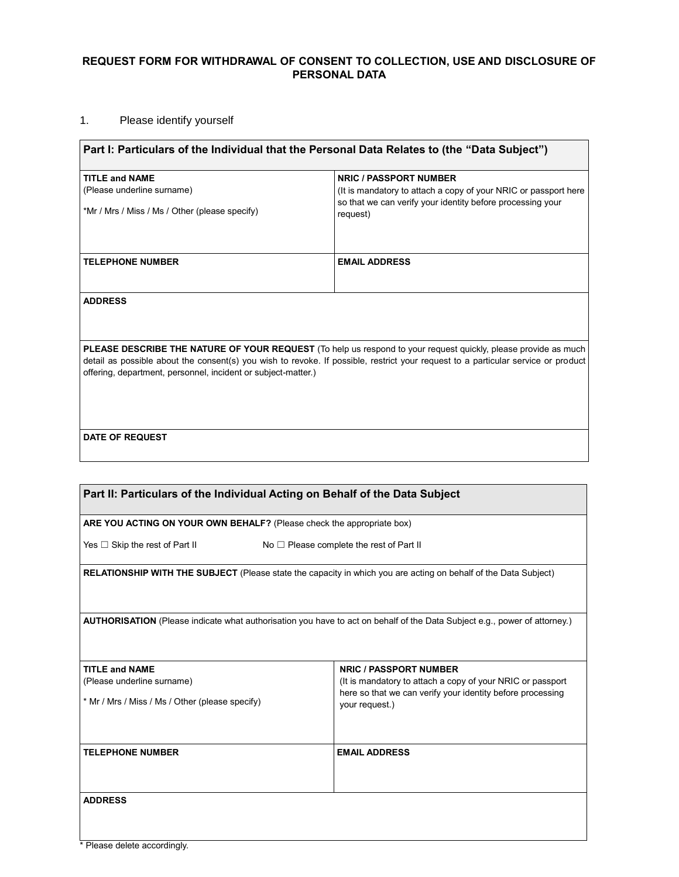## **REQUEST FORM FOR WITHDRAWAL OF CONSENT TO COLLECTION, USE AND DISCLOSURE OF PERSONAL DATA**

## 1. Please identify yourself

| Part I: Particulars of the Individual that the Personal Data Relates to (the "Data Subject")                                                                                                                                                                                                                                |                                                                        |  |
|-----------------------------------------------------------------------------------------------------------------------------------------------------------------------------------------------------------------------------------------------------------------------------------------------------------------------------|------------------------------------------------------------------------|--|
| <b>TITLE and NAME</b>                                                                                                                                                                                                                                                                                                       | <b>NRIC / PASSPORT NUMBER</b>                                          |  |
| (Please underline surname)                                                                                                                                                                                                                                                                                                  | (It is mandatory to attach a copy of your NRIC or passport here        |  |
| *Mr / Mrs / Miss / Ms / Other (please specify)                                                                                                                                                                                                                                                                              | so that we can verify your identity before processing your<br>request) |  |
|                                                                                                                                                                                                                                                                                                                             |                                                                        |  |
| <b>TELEPHONE NUMBER</b>                                                                                                                                                                                                                                                                                                     | <b>EMAIL ADDRESS</b>                                                   |  |
|                                                                                                                                                                                                                                                                                                                             |                                                                        |  |
| <b>ADDRESS</b>                                                                                                                                                                                                                                                                                                              |                                                                        |  |
|                                                                                                                                                                                                                                                                                                                             |                                                                        |  |
|                                                                                                                                                                                                                                                                                                                             |                                                                        |  |
|                                                                                                                                                                                                                                                                                                                             |                                                                        |  |
| <b>PLEASE DESCRIBE THE NATURE OF YOUR REQUEST</b> (To help us respond to your request quickly, please provide as much<br>detail as possible about the consent(s) you wish to revoke. If possible, restrict your request to a particular service or product<br>offering, department, personnel, incident or subject-matter.) |                                                                        |  |
|                                                                                                                                                                                                                                                                                                                             |                                                                        |  |
|                                                                                                                                                                                                                                                                                                                             |                                                                        |  |
|                                                                                                                                                                                                                                                                                                                             |                                                                        |  |
|                                                                                                                                                                                                                                                                                                                             |                                                                        |  |
| <b>DATE OF REQUEST</b>                                                                                                                                                                                                                                                                                                      |                                                                        |  |
|                                                                                                                                                                                                                                                                                                                             |                                                                        |  |

| Part II: Particulars of the Individual Acting on Behalf of the Data Subject                                               |                                                                                                                                            |  |
|---------------------------------------------------------------------------------------------------------------------------|--------------------------------------------------------------------------------------------------------------------------------------------|--|
| ARE YOU ACTING ON YOUR OWN BEHALF? (Please check the appropriate box)                                                     |                                                                                                                                            |  |
| Yes $\Box$ Skip the rest of Part II                                                                                       | No $\Box$ Please complete the rest of Part II                                                                                              |  |
| <b>RELATIONSHIP WITH THE SUBJECT</b> (Please state the capacity in which you are acting on behalf of the Data Subject)    |                                                                                                                                            |  |
| AUTHORISATION (Please indicate what authorisation you have to act on behalf of the Data Subject e.g., power of attorney.) |                                                                                                                                            |  |
| <b>TITLE and NAME</b>                                                                                                     | <b>NRIC / PASSPORT NUMBER</b>                                                                                                              |  |
| (Please underline surname)<br>* Mr / Mrs / Miss / Ms / Other (please specify)                                             | (It is mandatory to attach a copy of your NRIC or passport<br>here so that we can verify your identity before processing<br>your request.) |  |
| <b>TELEPHONE NUMBER</b>                                                                                                   | <b>EMAIL ADDRESS</b>                                                                                                                       |  |
| <b>ADDRESS</b>                                                                                                            |                                                                                                                                            |  |

 $\overline{\mathbf{1}}$ 

<sup>\*</sup> Please delete accordingly.